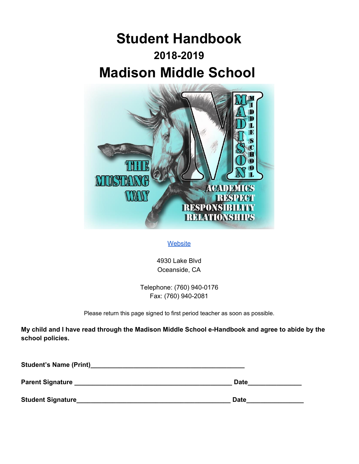# **Student Handbook 2018-2019 Madison Middle School**



# **[Website](http://www.mms.vistausd.org/)**

4930 Lake Blvd Oceanside, CA

Telephone: (760) 940-0176 Fax: (760) 940-2081

Please return this page signed to first period teacher as soon as possible.

**My child and I have read through the Madison Middle School e-Handbook and agree to abide by the school policies.**

| <b>Student's Name (Print)</b> |             |
|-------------------------------|-------------|
| <b>Parent Signature</b>       | <b>Date</b> |
| <b>Student Signature_</b>     | <b>Date</b> |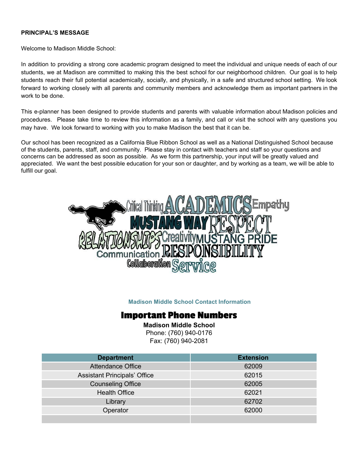#### **PRINCIPAL'S MESSAGE**

Welcome to Madison Middle School:

In addition to providing a strong core academic program designed to meet the individual and unique needs of each of our students, we at Madison are committed to making this the best school for our neighborhood children. Our goal is to help students reach their full potential academically, socially, and physically, in a safe and structured school setting. We look forward to working closely with all parents and community members and acknowledge them as important partners in the work to be done.

This e-planner has been designed to provide students and parents with valuable information about Madison policies and procedures. Please take time to review this information as a family, and call or visit the school with any questions you may have. We look forward to working with you to make Madison the best that it can be.

Our school has been recognized as a California Blue Ribbon School as well as a National Distinguished School because of the students, parents, staff, and community. Please stay in contact with teachers and staff so your questions and concerns can be addressed as soon as possible. As we form this partnership, your input will be greatly valued and appreciated. We want the best possible education for your son or daughter, and by working as a team, we will be able to fulfill our goal.



#### **Madison Middle School Contact Information**

# **Important Phone Numbers**

**Madison Middle School** Phone: (760) 940-0176 Fax: (760) 940-2081

| <b>Department</b>                   | <b>Extension</b> |
|-------------------------------------|------------------|
| <b>Attendance Office</b>            | 62009            |
| <b>Assistant Principals' Office</b> | 62015            |
| <b>Counseling Office</b>            | 62005            |
| <b>Health Office</b>                | 62021            |
| Library                             | 62702            |
| Operator                            | 62000            |
|                                     |                  |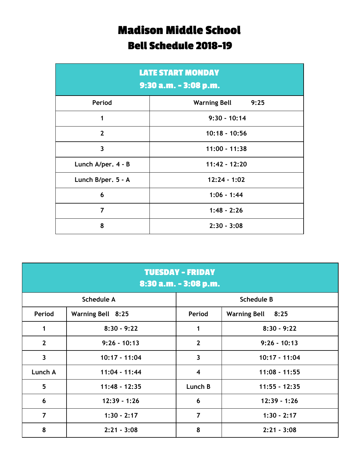# **Madison Middle School Bell Schedule 2018-19**

| <b>LATE START MONDAY</b><br>9:30 a.m. - 3:08 p.m. |                             |  |  |
|---------------------------------------------------|-----------------------------|--|--|
| Period                                            | <b>Warning Bell</b><br>9:25 |  |  |
| 1                                                 | $9:30 - 10:14$              |  |  |
| $\mathbf{2}$                                      | $10:18 - 10:56$             |  |  |
| $\overline{\mathbf{3}}$                           | $11:00 - 11:38$             |  |  |
| Lunch A/per. 4 - B                                | $11:42 - 12:20$             |  |  |
| Lunch B/per. 5 - A                                | $12:24 - 1:02$              |  |  |
| 6                                                 | $1:06 - 1:44$               |  |  |
| 7                                                 | $1:48 - 2:26$               |  |  |
| 8                                                 | $2:30 - 3:08$               |  |  |

| <b>TUESDAY - FRIDAY</b><br>8:30 a.m. - 3:08 p.m. |                   |                         |                   |  |  |
|--------------------------------------------------|-------------------|-------------------------|-------------------|--|--|
|                                                  | <b>Schedule A</b> |                         | <b>Schedule B</b> |  |  |
| Period                                           | Warning Bell 8:25 | Period                  | Warning Bell 8:25 |  |  |
| 1                                                | $8:30 - 9:22$     | 1                       | $8:30 - 9:22$     |  |  |
| $\overline{2}$                                   | $9:26 - 10:13$    | $\overline{2}$          | $9:26 - 10:13$    |  |  |
| $\overline{\mathbf{3}}$                          | 10:17 - 11:04     | $\overline{\mathbf{3}}$ | 10:17 - 11:04     |  |  |
| Lunch A                                          | $11:04 - 11:44$   | $\overline{\mathbf{4}}$ | $11:08 - 11:55$   |  |  |
| $5\phantom{a}$                                   | 11:48 - 12:35     | Lunch B                 | $11:55 - 12:35$   |  |  |
| $6\phantom{1}6$                                  | $12:39 - 1:26$    | 6                       | $12:39 - 1:26$    |  |  |
| $\overline{7}$                                   | $1:30 - 2:17$     | $\overline{7}$          | $1:30 - 2:17$     |  |  |
| 8                                                | $2:21 - 3:08$     | 8                       | $2:21 - 3:08$     |  |  |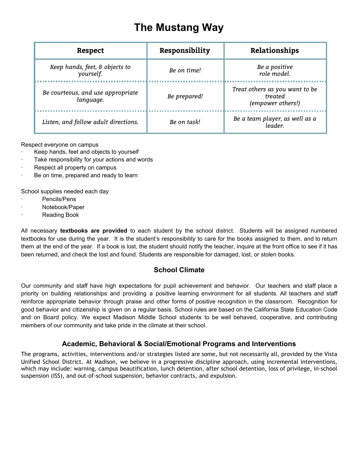# **The Mustang Way**

| <b>Respect</b>                                 | Responsibility | Relationships                                                  |
|------------------------------------------------|----------------|----------------------------------------------------------------|
| Keep hands, feet, & objects to<br>yourself.    | Be on time!    | Be a positive<br>role model.                                   |
| Be courteous, and use appropriate<br>language. | Be prepared!   | Treat others as you want to be<br>treated<br>(empower others!) |
| Listen, and follow adult directions.           | Be on task!    | Be a team player, as well as a<br>leader                       |

Respect everyone on campus

- Keep hands, feet and objects to yourself
- Take responsibility for your actions and words
- Respect all property on campus
- Be on time, prepared and ready to learn

School supplies needed each day

- Pencils/Pens
- Notebook/Paper
- **Reading Book**

All necessary **textbooks are provided** to each student by the school district. Students will be assigned numbered textbooks for use during the year. It is the student's responsibility to care for the books assigned to them, and to return them at the end of the year. If a book is lost, the student should notify the teacher, inquire at the front office to see if it has been returned, and check the lost and found. Students are responsible for damaged, lost, or stolen books.

# **School Climate**

Our community and staff have high expectations for pupil achievement and behavior. Our teachers and staff place a priority on building relationships and providing a positive learning environment for all students. All teachers and staff reinforce appropriate behavior through praise and other forms of positive recognition in the classroom. Recognition for good behavior and citizenship is given on a regular basis. School rules are based on the California State Education Code and on Board policy. We expect Madison Middle School students to be well behaved, cooperative, and contributing members of our community and take pride in the climate at their school.

# **Academic, Behavioral & Social/Emotional Programs and Interventions**

The programs, activities, interventions and/or strategies listed are some, but not necessarily all, provided by the Vista Unified School District. At Madison, we believe in a progressive discipline approach, using incremental interventions, which may include: warning, campus beautification, lunch detention, after school detention, loss of privilege, in-school suspension (ISS), and out-of-school suspension, behavior contracts, and expulsion.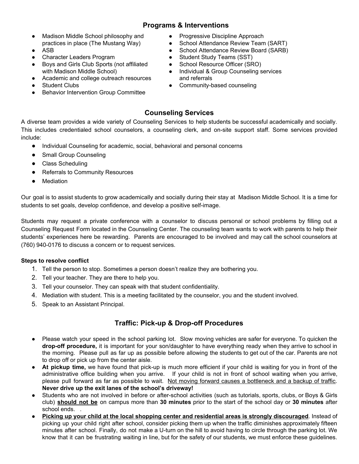# **Programs & Interventions**

- Madison Middle School philosophy and practices in place (The Mustang Way)
- ASB
- **Character Leaders Program**
- Boys and Girls Club Sports (not affiliated with Madison Middle School)
- Academic and college outreach resources
- **Student Clubs**
- **Behavior Intervention Group Committee**
- Progressive Discipline Approach
- School Attendance Review Team (SART)
- School Attendance Review Board (SARB)
- Student Study Teams (SST)
- School Resource Officer (SRO)
- Individual & Group Counseling services and referrals
- Community-based counseling

# **Counseling Services**

A diverse team provides a wide variety of Counseling Services to help students be successful academically and socially. This includes credentialed school counselors, a counseling clerk, and on-site support staff. Some services provided include:

- Individual Counseling for academic, social, behavioral and personal concerns
- **Small Group Counseling**
- Class Scheduling
- Referrals to Community Resources
- **Mediation**

Our goal is to assist students to grow academically and socially during their stay at Madison Middle School. It is a time for students to set goals, develop confidence, and develop a positive self-image.

Students may request a private conference with a counselor to discuss personal or school problems by filling out a Counseling Request Form located in the Counseling Center. The counseling team wants to work with parents to help their students' experiences here be rewarding. Parents are encouraged to be involved and may call the school counselors at (760) 940-0176 to discuss a concern or to request services.

## **Steps to resolve conflict**

- 1. Tell the person to stop. Sometimes a person doesn't realize they are bothering you.
- 2. Tell your teacher. They are there to help you.
- 3. Tell your counselor. They can speak with that student confidentiality.
- 4. Mediation with student. This is a meeting facilitated by the counselor, you and the student involved.
- 5. Speak to an Assistant Principal.

# **Traffic: Pick-up & Drop-off Procedures**

- Please watch your speed in the school parking lot. Slow moving vehicles are safer for everyone. To quicken the **drop-off procedure,** it is important for your son/daughter to have everything ready when they arrive to school in the morning. Please pull as far up as possible before allowing the students to get out of the car. Parents are not to drop off or pick up from the center aisle.
- **At pickup time,** we have found that pick-up is much more efficient if your child is waiting for you in front of the administrative office building when you arrive. If your child is not in front of school waiting when you arrive, please pull forward as far as possible to wait. Not moving forward causes a bottleneck and a backup of traffic. **Never drive up the exit lanes of the school's driveway!**
- Students who are not involved in before or after-school activities (such as tutorials, sports, clubs, or Boys & Girls club) **should not be** on campus more than **30 minutes** prior to the start of the school day or **30 minutes** after school ends. .
- **Picking up your child at the local shopping center and residential areas is strongly discouraged**. Instead of picking up your child right after school, consider picking them up when the traffic diminishes approximately fifteen minutes after school. Finally, do not make a U-turn on the hill to avoid having to circle through the parking lot. We know that it can be frustrating waiting in line, but for the safety of our students, we must enforce these guidelines.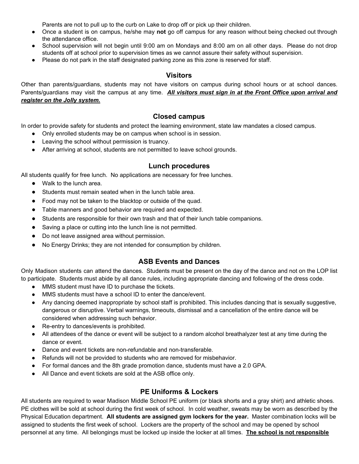Parents are not to pull up to the curb on Lake to drop off or pick up their children.

- Once a student is on campus, he/she may **not** go off campus for any reason without being checked out through the attendance office.
- School supervision will not begin until 9:00 am on Mondays and 8:00 am on all other days. Please do not drop students off at school prior to supervision times as we cannot assure their safety without supervision.
- Please do not park in the staff designated parking zone as this zone is reserved for staff.

## **Visitors**

Other than parents/guardians, students may not have visitors on campus during school hours or at school dances. Parents/guardians may visit the campus at any time. *All visitors must sign in at the Front Office upon arrival and register on the Jolly system.*

## **Closed campus**

In order to provide safety for students and protect the learning environment, state law mandates a closed campus.

- Only enrolled students may be on campus when school is in session.
- Leaving the school without permission is truancy.
- After arriving at school, students are not permitted to leave school grounds.

## **Lunch procedures**

All students qualify for free lunch. No applications are necessary for free lunches.

- Walk to the lunch area.
- Students must remain seated when in the lunch table area.
- Food may not be taken to the blacktop or outside of the quad.
- Table manners and good behavior are required and expected.
- Students are responsible for their own trash and that of their lunch table companions.
- Saving a place or cutting into the lunch line is not permitted.
- Do not leave assigned area without permission.
- No Energy Drinks; they are not intended for consumption by children.

## **ASB Events and Dances**

Only Madison students can attend the dances. Students must be present on the day of the dance and not on the LOP list to participate. Students must abide by all dance rules, including appropriate dancing and following of the dress code.

- MMS student must have ID to purchase the tickets.
- MMS students must have a school ID to enter the dance/event.
- Any dancing deemed inappropriate by school staff is prohibited. This includes dancing that is sexually suggestive, dangerous or disruptive. Verbal warnings, timeouts, dismissal and a cancellation of the entire dance will be considered when addressing such behavior.
- Re-entry to dances/events is prohibited.
- All attendees of the dance or event will be subject to a random alcohol breathalyzer test at any time during the dance or event.
- Dance and event tickets are non-refundable and non-transferable.
- Refunds will not be provided to students who are removed for misbehavior.
- For formal dances and the 8th grade promotion dance, students must have a 2.0 GPA.
- All Dance and event tickets are sold at the ASB office only.

## **PE Uniforms & Lockers**

All students are required to wear Madison Middle School PE uniform (or black shorts and a gray shirt) and athletic shoes. PE clothes will be sold at school during the first week of school. In cold weather, sweats may be worn as described by the Physical Education department. **All students are assigned gym lockers for the year.** Master combination locks will be assigned to students the first week of school. Lockers are the property of the school and may be opened by school personnel at any time. All belongings must be locked up inside the locker at all times. **The school is not responsible**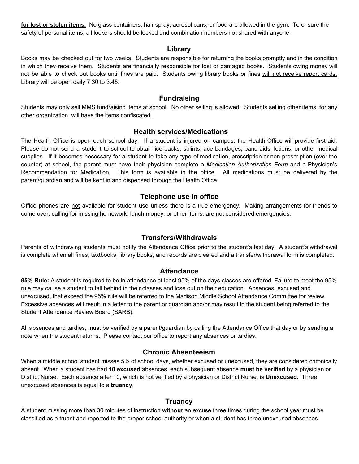**for lost or stolen items.** No glass containers, hair spray, aerosol cans, or food are allowed in the gym. To ensure the safety of personal items, all lockers should be locked and combination numbers not shared with anyone.

## **Library**

Books may be checked out for two weeks. Students are responsible for returning the books promptly and in the condition in which they receive them. Students are financially responsible for lost or damaged books. Students owing money will not be able to check out books until fines are paid. Students owing library books or fines will not receive report cards. Library will be open daily 7:30 to 3:45.

## **Fundraising**

Students may only sell MMS fundraising items at school. No other selling is allowed. Students selling other items, for any other organization, will have the items confiscated.

#### **Health services/Medications**

The Health Office is open each school day. If a student is injured on campus, the Health Office will provide first aid. Please do not send a student to school to obtain ice packs, splints, ace bandages, band-aids, lotions, or other medical supplies. If it becomes necessary for a student to take any type of medication, prescription or non-prescription (over the counter) at school, the parent must have their physician complete a *Medication Authorization Form* and a Physician's Recommendation for Medication. This form is available in the office. All medications must be delivered by the parent/guardian and will be kept in and dispensed through the Health Office.

## **Telephone use in office**

Office phones are not available for student use unless there is a true emergency. Making arrangements for friends to come over, calling for missing homework, lunch money, or other items, are not considered emergencies.

## **Transfers/Withdrawals**

Parents of withdrawing students must notify the Attendance Office prior to the student's last day. A student's withdrawal is complete when all fines, textbooks, library books, and records are cleared and a transfer/withdrawal form is completed.

## **Attendance**

**95% Rule:** A student is required to be in attendance at least 95% of the days classes are offered. Failure to meet the 95% rule may cause a student to fall behind in their classes and lose out on their education. Absences, excused and unexcused, that exceed the 95% rule will be referred to the Madison Middle School Attendance Committee for review. Excessive absences will result in a letter to the parent or guardian and/or may result in the student being referred to the Student Attendance Review Board (SARB).

All absences and tardies, must be verified by a parent/guardian by calling the Attendance Office that day or by sending a note when the student returns. Please contact our office to report any absences or tardies.

## **Chronic Absenteeism**

When a middle school student misses 5% of school days, whether excused or unexcused, they are considered chronically absent. When a student has had **10 excused** absences, each subsequent absence **must be verified** by a physician or District Nurse. Each absence after 10, which is not verified by a physician or District Nurse, is **Unexcused.** Three unexcused absences is equal to a **truancy**.

## **Truancy**

A student missing more than 30 minutes of instruction **without** an excuse three times during the school year must be classified as a truant and reported to the proper school authority or when a student has three unexcused absences.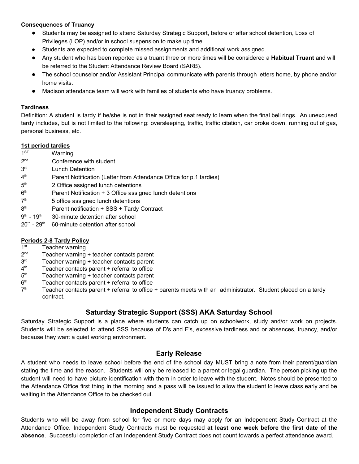## **Consequences of Truancy**

- Students may be assigned to attend Saturday Strategic Support, before or after school detention, Loss of Privileges (LOP) and/or in school suspension to make up time.
- Students are expected to complete missed assignments and additional work assigned.
- Any student who has been reported as a truant three or more times will be considered a **Habitual Truant** and will be referred to the Student Attendance Review Board (SARB).
- The school counselor and/or Assistant Principal communicate with parents through letters home, by phone and/or home visits.
- Madison attendance team will work with families of students who have truancy problems.

#### **Tardiness**

Definition: A student is tardy if he/she is not in their assigned seat ready to learn when the final bell rings. An unexcused tardy includes, but is not limited to the following: oversleeping, traffic, traffic citation, car broke down, running out of gas, personal business, etc.

#### **1st period tardies**

- $1<sup>ST</sup>$ Warning
- $2<sub>nd</sub>$ Conference with student
- 3rd **Lunch Detention**
- $4<sup>th</sup>$ Parent Notification (Letter from Attendance Office for p.1 tardies)
- $5<sup>th</sup>$ 2 Office assigned lunch detentions
- $6<sup>th</sup>$ Parent Notification + 3 Office assigned lunch detentions
- $7<sup>th</sup>$ 5 office assigned lunch detentions
- 8<sup>th</sup> Parent notification + SSS + Tardy Contract
- $9^{\text{th}}$  1 $9^{\text{t}}$ 30-minute detention after school
- 20<sup>th</sup> 29<sup>th</sup> 60-minute detention after school

## **Periods 2-8 Tardy Policy**

- $1<sup>st</sup>$ Teacher warning
- $2<sup>nd</sup>$ Teacher warning + teacher contacts parent
- $3<sup>rd</sup>$ Teacher warning + teacher contacts parent
- $4<sup>th</sup>$ Teacher contacts parent  $+$  referral to office
- $5<sup>th</sup>$ Teacher warning + teacher contacts parent
- $6<sup>th</sup>$ Teacher contacts parent  $+$  referral to office
- $7<sup>th</sup>$ Teacher contacts parent + referral to office + parents meets with an administrator. Student placed on a tardy contract.

# **Saturday Strategic Support (SSS) AKA Saturday School**

Saturday Strategic Support is a place where students can catch up on schoolwork, study and/or work on projects. Students will be selected to attend SSS because of D's and F's, excessive tardiness and or absences, truancy, and/or because they want a quiet working environment.

## **Early Release**

A student who needs to leave school before the end of the school day MUST bring a note from their parent/guardian stating the time and the reason. Students will only be released to a parent or legal guardian. The person picking up the student will need to have picture identification with them in order to leave with the student. Notes should be presented to the Attendance Office first thing in the morning and a pass will be issued to allow the student to leave class early and be waiting in the Attendance Office to be checked out.

## **Independent Study Contracts**

Students who will be away from school for five or more days may apply for an Independent Study Contract at the Attendance Office. Independent Study Contracts must be requested **at least one week before the first date of the absence**. Successful completion of an Independent Study Contract does not count towards a perfect attendance award.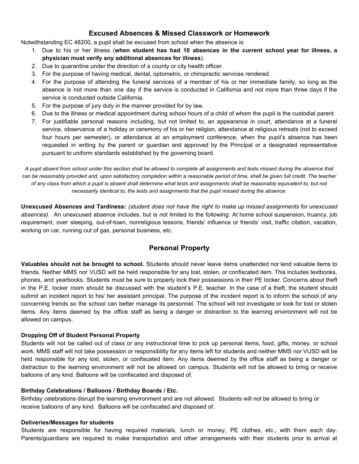# **Excused Absences & Missed Classwork or Homework**

Notwithstanding EC 48200, a pupil shall be excused from school when the absence is:

- 1. Due to his or her illness (**when student has had 10 absences in the current school year for illness, a physician must verify any additional absences for illness**).
- 2. Due to quarantine under the direction of a county or city health officer.
- 3. For the purpose of having medical, dental, optometric, or chiropractic services rendered.
- 4. For the purpose of attending the funeral services of a member of his or her immediate family, so long as the absence is not more than one day if the service is conducted in California and not more than three days if the service is conducted outside California.
- 5. For the purpose of jury duty in the manner provided for by law.
- 6. Due to the illness or medical appointment during school hours of a child of whom the pupil is the custodial parent.
- 7. For justifiable personal reasons including, but not limited to, an appearance in court, attendance at a funeral service, observance of a holiday or ceremony of his or her religion, attendance at religious retreats (not to exceed four hours per semester), or attendance at an employment conference, when the pupil's absence has been requested in writing by the parent or guardian and approved by the Principal or a designated representative pursuant to uniform standards established by the governing board.

*A pupil absent from school under this section shall be allowed to complete all assignments and tests missed during the absence that can be reasonably provided and, upon satisfactory completion within a reasonable period of time, shall be given full credit. The teacher of any class from which a pupil is absent shall determine what tests and assignments shall be reasonably equivalent to, but not necessarily identical to, the tests and assignments that the pupil missed during the absence.*

Unexcused Absences and Tardiness: (student does not have the right to make up missed assignments for unexcused *absences).* An unexcused absence includes, but is not limited to the following: At home school suspension, truancy, job requirement, over sleeping, out-of-town, nonreligious lessons, friends' influence or friends' visit, traffic citation, vacation, working on car, running out of gas, personal business, etc.

# **Personal Property**

**Valuables should not be brought to school.** Students should never leave items unattended nor lend valuable items to friends. Neither MMS nor VUSD will be held responsible for any lost, stolen, or confiscated item. This includes textbooks, phones, and yearbooks. Students must be sure to properly lock their possessions in their PE locker. Concerns about theft in the P.E. locker room should be discussed with the student's P.E. teacher. In the case of a theft, the student should submit an incident report to his/ her assistant principal. The purpose of the incident report is to inform the school of any concerning trends so the school can better manage its personnel. The school will not investigate or look for lost or stolen items. Any items deemed by the office staff as being a danger or distraction to the learning environment will not be allowed on campus.

## **Dropping Off of Student Personal Property**

Students will not be called out of class or any instructional time to pick up personal items, food, gifts, money, or school work. MMS staff will not take possession or responsibility for any items left for students and neither MMS nor VUSD will be held responsible for any lost, stolen, or confiscated item. Any items deemed by the office staff as being a danger or distraction to the learning environment will not be allowed on campus. Students will not be allowed to bring or receive balloons of any kind. Balloons will be confiscated and disposed of.

## **Birthday Celebrations / Balloons / Birthday Boards / Etc.**

Birthday celebrations disrupt the learning environment and are not allowed. Students will not be allowed to bring or receive balloons of any kind. Balloons will be confiscated and disposed of.

#### **Deliveries/Messages for students**

Students are responsible for having required materials, lunch or money, PE clothes, etc., with them each day. Parents/guardians are required to make transportation and other arrangements with their students prior to arrival at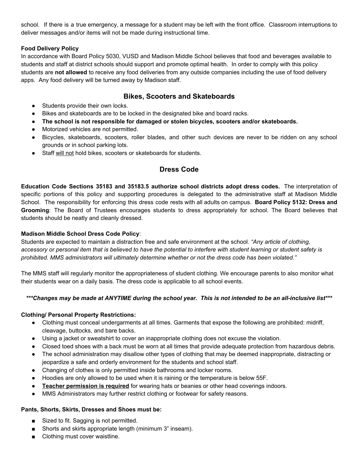school. If there is a true emergency, a message for a student may be left with the front office. Classroom interruptions to deliver messages and/or items will not be made during instructional time.

## **Food Delivery Policy**

In accordance with Board Policy 5030, VUSD and Madison Middle School believes that food and beverages available to students and staff at district schools should support and promote optimal health. In order to comply with this policy students are **not allowed** to receive any food deliveries from any outside companies including the use of food delivery apps. Any food delivery will be turned away by Madison staff.

# **Bikes, Scooters and Skateboards**

- Students provide their own locks.
- Bikes and skateboards are to be locked in the designated bike and board racks.
- **● The school is not responsible for damaged or stolen bicycles, scooters and/or skateboards.**
- Motorized vehicles are not permitted.
- Bicycles, skateboards, scooters, roller blades, and other such devices are never to be ridden on any school grounds or in school parking lots.
- Staff will not hold bikes, scooters or skateboards for students.

# **Dress Code**

**Education Code Sections 35183 and 35183.5 authorize school districts adopt dress codes.** The interpretation of specific portions of this policy and supporting procedures is delegated to the administrative staff at Madison Middle School. The responsibility for enforcing this dress code rests with all adults on campus. **Board Policy 5132: Dress and Grooming**: The Board of Trustees encourages students to dress appropriately for school. The Board believes that students should be neatly and cleanly dressed.

## **Madison Middle School Dress Code Policy**:

Students are expected to maintain a distraction free and safe environment at the school. *"Any article of clothing,* accessory or personal item that is believed to have the potential to interfere with student learning or student safety is *prohibited. MMS administrators will ultimately determine whether or not the dress code has been violated."*

The MMS staff will regularly monitor the appropriateness of student clothing. We encourage parents to also monitor what their students wear on a daily basis. The dress code is applicable to all school events.

## \*\*\*Changes may be made at ANYTIME during the school year. This is not intended to be an all-inclusive list\*\*\*

## **Clothing/ Personal Property Restrictions:**

- Clothing must conceal undergarments at all times. Garments that expose the following are prohibited: midriff, cleavage, buttocks, and bare backs.
- Using a jacket or sweatshirt to cover an inappropriate clothing does not excuse the violation.
- Closed toed shoes with a back must be worn at all times that provide adequate protection from hazardous debris.
- The school administration may disallow other types of clothing that may be deemed inappropriate, distracting or jeopardize a safe and orderly environment for the students and school staff.
- Changing of clothes is only permitted inside bathrooms and locker rooms.
- Hoodies are only allowed to be used when it is raining or the temperature is below 55F.
- **Teacher permission is required** for wearing hats or beanies or other head coverings indoors.
- MMS Administrators may further restrict clothing or footwear for safety reasons.

## **Pants, Shorts, Skirts, Dresses and Shoes must be:**

- Sized to fit. Sagging is not permitted.
- Shorts and skirts appropriate length (minimum 3" inseam).
- Clothing must cover waistline.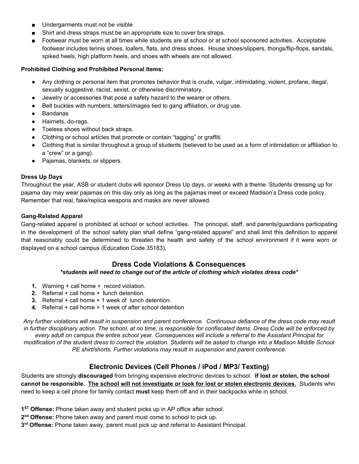- Undergarments must not be visible
- Shirt and dress straps must be an appropriate size to cover bra straps.
- Footwear must be worn at all times while students are at school or at school sponsored activities. Acceptable footwear includes tennis shoes, loafers, flats, and dress shoes. House shoes/slippers, thongs/flip-flops, sandals, spiked heels, high platform heels, and shoes with wheels are not allowed.

### **Prohibited Clothing and Prohibited Personal Items:**

- Any clothing or personal item that promotes behavior that is crude, vulgar, intimidating, violent, profane, illegal, sexually suggestive, racist, sexist, or otherwise discriminatory.
- Jewelry or accessories that pose a safety hazard to the wearer or others.
- Belt buckles with numbers, letters/images tied to gang affiliation, or drug use.
- **Bandanas**
- Hairnets, do-rags.
- Toeless shoes without back straps.
- Clothing or school articles that promote or contain "tagging" or graffiti.
- Clothing that is similar throughout a group of students (believed to be used as a form of intimidation or affiliation to a "crew" or a gang).
- Pajamas, blankets, or slippers.

## **Dress Up Days**

Throughout the year, ASB or student clubs will sponsor Dress Up days, or weeks with a theme. Students dressing up for pajama day may wear pajamas on this day only as long as the pajamas meet or exceed Madison's Dress code policy. Remember that real, fake/replica weapons and masks are never allowed.

## **Gang-Related Apparel**

Gang-related apparel is prohibited at school or school activities. The principal, staff, and parents/guardians participating in the development of the school safety plan shall define "gang-related apparel" and shall limit this definition to apparel that reasonably could be determined to threaten the health and safety of the school environment if it were worn or displayed on a school campus (Education Code 35183).

## **Dress Code Violations & Consequences**

## *\*students will need to change out of the article of clothing which violates dress code\**

- **1.** Warning + call home + record violation.
- **2.** Referral + call home + **l**unch detention.
- **3.** Referral + call home + 1 week of lunch detention.
- **4.** Referral + call home + 1 week of after school detention

Any further violations will result in suspension and parent conference. Continuous defiance of the dress code may result in further disciplinary action. The school, at no time, is responsible for confiscated items. Dress Code will be enforced by every adult on campus the entire school year. Consequences will include a referral to the Assistant Principal for modification of the student dress to correct the violation. Students will be asked to change into a Madison Middle School *PE shirt/shorts. Further violations may result in suspension and parent conference.*

# **Electronic Devices (Cell Phones / iPod / MP3/ Texting)**

Students are strongly **discouraged** from bringing expensive electronic devices to school. **If lost or stolen, the school** cannot be responsible. The school will not investigate or look for lost or stolen electronic devices. Students who need to keep a cell phone for family contact **must** keep them off and in their backpacks while in school.

- **1 ST Offense:** Phone taken away and student picks up in AP office after school.
- **2 nd Offense:** Phone taken away and parent must come to school to pick up.
- **3 rd Offense:** Phone taken away, parent must pick up and referral to Assistant Principal.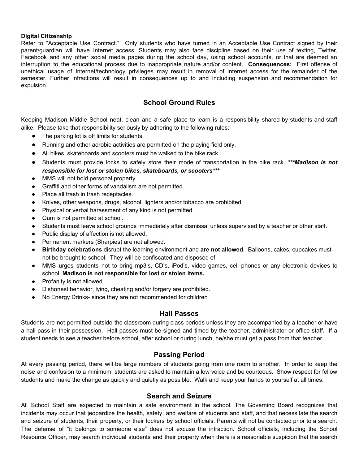#### **Digital Citizenship**

Refer to "Acceptable Use Contract." Only students who have turned in an Acceptable Use Contract signed by their parent/guardian will have Internet access. Students may also face discipline based on their use of texting, Twitter, Facebook and any other social media pages during the school day, using school accounts, or that are deemed an interruption to the educational process due to inappropriate nature and/or content. **Consequences:** First offense of unethical usage of Internet/technology privileges may result in removal of Internet access for the remainder of the semester. Further infractions will result in consequences up to and including suspension and recommendation for expulsion.

## **School Ground Rules**

Keeping Madison Middle School neat, clean and a safe place to learn is a responsibility shared by students and staff alike. Please take that responsibility seriously by adhering to the following rules:

- The parking lot is off limits for students.
- Running and other aerobic activities are permitted on the playing field only.
- All bikes, skateboards and scooters must be walked to the bike rack.
- Students must provide locks to safely store their mode of transportation in the bike rack. *\*\*\*Madison is not responsible for lost or stolen bikes, skateboards, or scooters\*\*\**
- MMS will not hold personal property.
- Graffiti and other forms of vandalism are not permitted.
- Place all trash in trash receptacles.
- Knives, other weapons, drugs, alcohol, lighters and/or tobacco are prohibited.
- Physical or verbal harassment of any kind is not permitted.
- Gum is not permitted at school.
- Students must leave school grounds immediately after dismissal unless supervised by a teacher or other staff.
- Public display of affection is not allowed.
- Permanent markers (Sharpies) are not allowed.
- **Birthday celebrations** disrupt the learning environment and **are not allowed**. Balloons, cakes, cupcakes must not be brought to school. They will be confiscated and disposed of.
- MMS urges students not to bring mp3's, CD's, iPod's, video games, cell phones or any electronic devices to school. **Madison is not responsible for lost or stolen items.**
- Profanity is not allowed.
- Dishonest behavior, lying, cheating and/or forgery are prohibited.
- No Energy Drinks- since they are not recommended for children

## **Hall Passes**

Students are not permitted outside the classroom during class periods unless they are accompanied by a teacher or have a hall pass in their possession. Hall passes must be signed and timed by the teacher, administrator or office staff. If a student needs to see a teacher before school, after school or during lunch, he/she must get a pass from that teacher.

## **Passing Period**

At every passing period, there will be large numbers of students going from one room to another. In order to keep the noise and confusion to a minimum, students are asked to maintain a low voice and be courteous. Show respect for fellow students and make the change as quickly and quietly as possible. Walk and keep your hands to yourself at all times.

## **Search and Seizure**

All School Staff are expected to maintain a safe environment in the school. The Governing Board recognizes that incidents may occur that jeopardize the health, safety, and welfare of students and staff, and that necessitate the search and seizure of students, their property, or their lockers by school officials. Parents will not be contacted prior to a search. The defense of "it belongs to someone else" does not excuse the infraction. School officials, including the School Resource Officer, may search individual students and their property when there is a reasonable suspicion that the search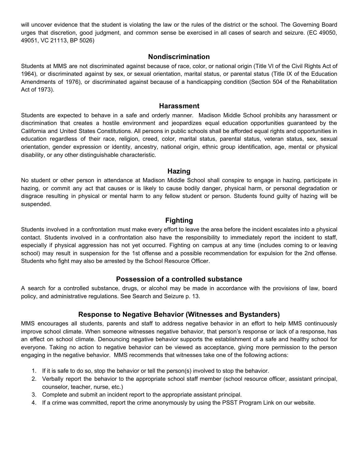will uncover evidence that the student is violating the law or the rules of the district or the school. The Governing Board urges that discretion, good judgment, and common sense be exercised in all cases of search and seizure. (EC 49050, 49051, VC 21113, BP 5026)

## **Nondiscrimination**

Students at MMS are not discriminated against because of race, color, or national origin (Title VI of the Civil Rights Act of 1964), or discriminated against by sex, or sexual orientation, marital status, or parental status (Title IX of the Education Amendments of 1976), or discriminated against because of a handicapping condition (Section 504 of the Rehabilitation Act of 1973).

### **Harassment**

Students are expected to behave in a safe and orderly manner. Madison Middle School prohibits any harassment or discrimination that creates a hostile environment and jeopardizes equal education opportunities guaranteed by the California and United States Constitutions. All persons in public schools shall be afforded equal rights and opportunities in education regardless of their race, religion, creed, color, marital status, parental status, veteran status, sex, sexual orientation, gender expression or identity, ancestry, national origin, ethnic group identification, age, mental or physical disability, or any other distinguishable characteristic.

## **Hazing**

No student or other person in attendance at Madison Middle School shall conspire to engage in hazing, participate in hazing, or commit any act that causes or is likely to cause bodily danger, physical harm, or personal degradation or disgrace resulting in physical or mental harm to any fellow student or person. Students found guilty of hazing will be suspended.

## **Fighting**

Students involved in a confrontation must make every effort to leave the area before the incident escalates into a physical contact. Students involved in a confrontation also have the responsibility to immediately report the incident to staff, especially if physical aggression has not yet occurred. Fighting on campus at any time (includes coming to or leaving school) may result in suspension for the 1st offense and a possible recommendation for expulsion for the 2nd offense. Students who fight may also be arrested by the School Resource Officer.

## **Possession of a controlled substance**

A search for a controlled substance, drugs, or alcohol may be made in accordance with the provisions of law, board policy, and administrative regulations. See Search and Seizure p. 13.

## **Response to Negative Behavior (Witnesses and Bystanders)**

MMS encourages all students, parents and staff to address negative behavior in an effort to help MMS continuously improve school climate. When someone witnesses negative behavior, that person's response or lack of a response, has an effect on school climate. Denouncing negative behavior supports the establishment of a safe and healthy school for everyone. Taking no action to negative behavior can be viewed as acceptance, giving more permission to the person engaging in the negative behavior. MMS recommends that witnesses take one of the following actions:

- 1. If it is safe to do so, stop the behavior or tell the person(s) involved to stop the behavior.
- 2. Verbally report the behavior to the appropriate school staff member (school resource officer, assistant principal, counselor, teacher, nurse, etc.)
- 3. Complete and submit an incident report to the appropriate assistant principal.
- 4. If a crime was committed, report the crime anonymously by using the PSST Program Link on our website.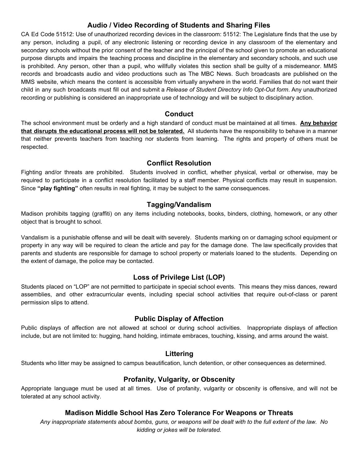# **Audio / Video Recording of Students and Sharing Files**

CA Ed Code 51512: Use of unauthorized recording devices in the classroom: 51512: The Legislature finds that the use by any person, including a pupil, of any electronic listening or recording device in any classroom of the elementary and secondary schools without the prior consent of the teacher and the principal of the school given to promote an educational purpose disrupts and impairs the teaching process and discipline in the elementary and secondary schools, and such use is prohibited. Any person, other than a pupil, who willfully violates this section shall be guilty of a misdemeanor. MMS records and broadcasts audio and video productions such as The MBC News. Such broadcasts are published on the MMS website, which means the content is accessible from virtually anywhere in the world. Families that do not want their child in any such broadcasts must fill out and submit a *Release of Student Directory Info Opt-Out form*. Any unauthorized recording or publishing is considered an inappropriate use of technology and will be subject to disciplinary action.

## **Conduct**

The school environment must be orderly and a high standard of conduct must be maintained at all times. **Any behavior that disrupts the educational process will not be tolerated.** All students have the responsibility to behave in a manner that neither prevents teachers from teaching nor students from learning. The rights and property of others must be respected.

## **Conflict Resolution**

Fighting and/or threats are prohibited. Students involved in conflict, whether physical, verbal or otherwise, may be required to participate in a conflict resolution facilitated by a staff member. Physical conflicts may result in suspension. Since **"play fighting"** often results in real fighting, it may be subject to the same consequences.

# **Tagging/Vandalism**

Madison prohibits tagging (graffiti) on any items including notebooks, books, binders, clothing, homework, or any other object that is brought to school.

Vandalism is a punishable offense and will be dealt with severely. Students marking on or damaging school equipment or property in any way will be required to clean the article and pay for the damage done. The law specifically provides that parents and students are responsible for damage to school property or materials loaned to the students. Depending on the extent of damage, the police may be contacted.

# **Loss of Privilege List (LOP)**

Students placed on "LOP" are not permitted to participate in special school events. This means they miss dances, reward assemblies, and other extracurricular events, including special school activities that require out-of-class or parent permission slips to attend.

# **Public Display of Affection**

Public displays of affection are not allowed at school or during school activities. Inappropriate displays of affection include, but are not limited to: hugging, hand holding, intimate embraces, touching, kissing, and arms around the waist.

# **Littering**

Students who litter may be assigned to campus beautification, lunch detention, or other consequences as determined.

# **Profanity, Vulgarity, or Obscenity**

Appropriate language must be used at all times. Use of profanity, vulgarity or obscenity is offensive, and will not be tolerated at any school activity.

# **Madison Middle School Has Zero Tolerance For Weapons or Threats**

Any inappropriate statements about bombs, guns, or weapons will be dealt with to the full extent of the law. No *kidding or jokes will be tolerated.*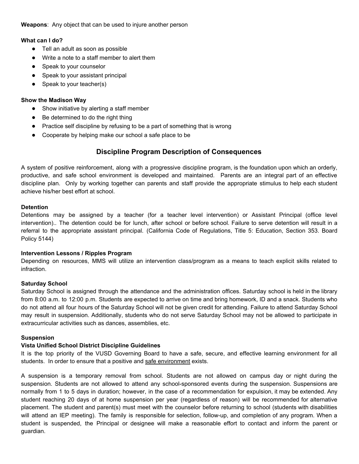**Weapons**: Any object that can be used to injure another person

## **What can I do?**

- Tell an adult as soon as possible
- Write a note to a staff member to alert them
- Speak to your counselor
- Speak to your assistant principal
- Speak to your teacher(s)

## **Show the Madison Way**

- Show initiative by alerting a staff member
- Be determined to do the right thing
- Practice self discipline by refusing to be a part of something that is wrong
- Cooperate by helping make our school a safe place to be

# **Discipline Program Description of Consequences**

A system of positive reinforcement, along with a progressive discipline program, is the foundation upon which an orderly, productive, and safe school environment is developed and maintained. Parents are an integral part of an effective discipline plan. Only by working together can parents and staff provide the appropriate stimulus to help each student achieve his/her best effort at school.

## **Detention**

Detentions may be assigned by a teacher (for a teacher level intervention) or Assistant Principal (office level intervention).. The detention could be for lunch, after school or before school. Failure to serve detention will result in a referral to the appropriate assistant principal. (California Code of Regulations, Title 5: Education, Section 353. Board Policy 5144)

## **Intervention Lessons / Ripples Program**

Depending on resources, MMS will utilize an intervention class/program as a means to teach explicit skills related to infraction.

## **Saturday School**

Saturday School is assigned through the attendance and the administration offices. Saturday school is held in the library from 8:00 a.m. to 12:00 p.m. Students are expected to arrive on time and bring homework, ID and a snack. Students who do not attend all four hours of the Saturday School will not be given credit for attending. Failure to attend Saturday School may result in suspension. Additionally, students who do not serve Saturday School may not be allowed to participate in extracurricular activities such as dances, assemblies, etc.

## **Suspension**

## **Vista Unified School District Discipline Guidelines**

It is the top priority of the VUSD Governing Board to have a safe, secure, and effective learning environment for all students. In order to ensure that a positive and safe environment exists.

A suspension is a temporary removal from school. Students are not allowed on campus day or night during the suspension. Students are not allowed to attend any school-sponsored events during the suspension. Suspensions are normally from 1 to 5 days in duration; however, in the case of a recommendation for expulsion, it may be extended. Any student reaching 20 days of at home suspension per year (regardless of reason) will be recommended for alternative placement. The student and parent(s) must meet with the counselor before returning to school (students with disabilities will attend an IEP meeting). The family is responsible for selection, follow-up, and completion of any program. When a student is suspended, the Principal or designee will make a reasonable effort to contact and inform the parent or guardian.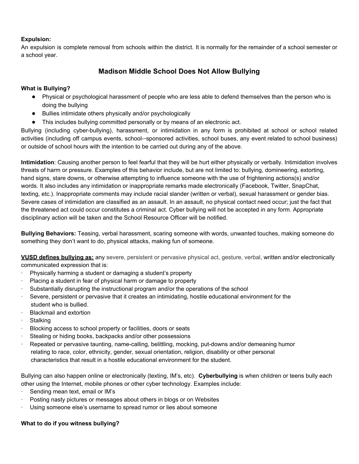## **Expulsion:**

An expulsion is complete removal from schools within the district. It is normally for the remainder of a school semester or a school year.

# **Madison Middle School Does Not Allow Bullying**

## **What is Bullying?**

- Physical or psychological harassment of people who are less able to defend themselves than the person who is doing the bullying
- Bullies intimidate others physically and/or psychologically
- This includes bullying committed personally or by means of an electronic act.

Bullying (including cyber-bullying), harassment, or intimidation in any form is prohibited at school or school related activities (including off campus events, school--sponsored activities, school buses, any event related to school business) or outside of school hours with the intention to be carried out during any of the above.

**Intimidation**: Causing another person to feel fearful that they will be hurt either physically or verbally. Intimidation involves threats of harm or pressure. Examples of this behavior include, but are not limited to: bullying, domineering, extorting, hand signs, stare downs, or otherwise attempting to influence someone with the use of frightening actions(s) and/or words. It also includes any intimidation or inappropriate remarks made electronically (Facebook, Twitter, SnapChat, texting, etc.). Inappropriate comments may include racial slander (written or verbal), sexual harassment or gender bias. Severe cases of intimidation are classified as an assault. In an assault, no physical contact need occur; just the fact that the threatened act could occur constitutes a criminal act. Cyber bullying will not be accepted in any form. Appropriate disciplinary action will be taken and the School Resource Officer will be notified.

**Bullying Behaviors:** Teasing, verbal harassment, scaring someone with words, unwanted touches, making someone do something they don't want to do, physical attacks, making fun of someone.

**VUSD defines bullying as:** any severe, persistent or pervasive physical act, gesture, verbal, written and/or electronically communicated expression that is:

- Physically harming a student or damaging a student's property
- Placing a student in fear of physical harm or damage to property
- · Substantially disrupting the instructional program and/or the operations of the school
- Severe, persistent or pervasive that it creates an intimidating, hostile educational environment for the student who is bullied.
- **Blackmail and extortion**
- **Stalking**
- Blocking access to school property or facilities, doors or seats
- Stealing or hiding books, backpacks and/or other possessions
- Repeated or pervasive taunting, name-calling, belittling, mocking, put-downs and/or demeaning humor relating to race, color, ethnicity, gender, sexual orientation, religion, disability or other personal characteristics that result in a hostile educational environment for the student.

Bullying can also happen online or electronically (texting, IM's, etc). **Cyberbullying** is when children or teens bully each other using the Internet, mobile phones or other cyber technology. Examples include:

- Sending mean text, email or IM's
- Posting nasty pictures or messages about others in blogs or on Websites
- Using someone else's username to spread rumor or lies about someone

## **What to do if you witness bullying?**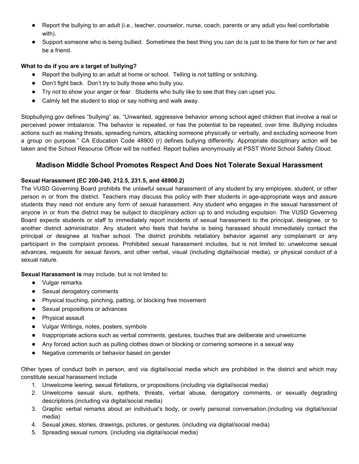- Report the bullying to an adult (i.e., teacher, counselor, nurse, coach, parents or any adult you feel comfortable with).
- Support someone who is being bullied. Sometimes the best thing you can do is just to be there for him or her and be a friend.

## **What to do if you are a target of bullying?**

- Report the bullying to an adult at home or school. Telling is not tattling or snitching.
- Don't fight back. Don't try to bully those who bully you.
- Try not to show your anger or fear. Students who bully like to see that they can upset you.
- Calmly tell the student to stop or say nothing and walk away.

Stopbullying.gov defines "bullying" as, "Unwanted, aggressive behavior among school aged children that involve a real or perceived power imbalance. The behavior is repeated, or has the potential to be repeated, over time. Bullying includes actions such as making threats, spreading rumors, attacking someone physically or verbally, and excluding someone from a group on purpose." CA Education Code 48900 (r) defines bullying differently. Appropriate disciplinary action will be taken and the School Resource Officer will be notified. Report bullies anonymously at PSST World School Safety Cloud.

## **Madison Middle School Promotes Respect And Does Not Tolerate Sexual Harassment**

#### **Sexual Harassment (EC 200-240, 212.5, 231.5, and 48900.2)**

The VUSD Governing Board prohibits the unlawful sexual harassment of any student by any employee, student, or other person in or from the district. Teachers may discuss this policy with their students in age-appropriate ways and assure students they need not endure any form of sexual harassment. Any student who engages in the sexual harassment of anyone in or from the district may be subject to disciplinary action up to and including expulsion. The VUSD Governing Board expects students or staff to immediately report incidents of sexual harassment to the principal, designee, or to another district administrator. Any student who feels that he/she is being harassed should immediately contact the principal or designee at his/her school. The district prohibits retaliatory behavior against any complainant or any participant in the complaint process. Prohibited sexual harassment includes, but is not limited to: unwelcome sexual advances, requests for sexual favors, and other verbal, visual (including digital/social media), or physical conduct of a sexual nature.

**Sexual Harassment is** may include, but is not limited to:

- Vulgar remarks
- Sexual derogatory comments
- Physical touching, pinching, patting, or blocking free movement
- Sexual propositions or advances
- Physical assault
- Vulgar Writings, notes, posters, symbols
- Inappropriate actions such as verbal comments, gestures, touches that are deliberate and unwelcome
- Any forced action such as pulling clothes down or blocking or cornering someone in a sexual way
- Negative comments or behavior based on gender

Other types of conduct both in person, and via digital/social media which are prohibited in the district and which may constitute sexual harassment include

- 1. Unwelcome leering, sexual flirtations, or propositions.(including via digital/social media)
- 2. Unwelcome sexual slurs, epithets, threats, verbal abuse, derogatory comments, or sexually degrading descriptions.(including via digital/social media)
- 3. Graphic verbal remarks about an individual's body, or overly personal conversation.(including via digital/social media)
- 4. Sexual jokes, stories, drawings, pictures, or gestures. (including via digital/social media)
- 5. Spreading sexual rumors. (including via digital/social media)